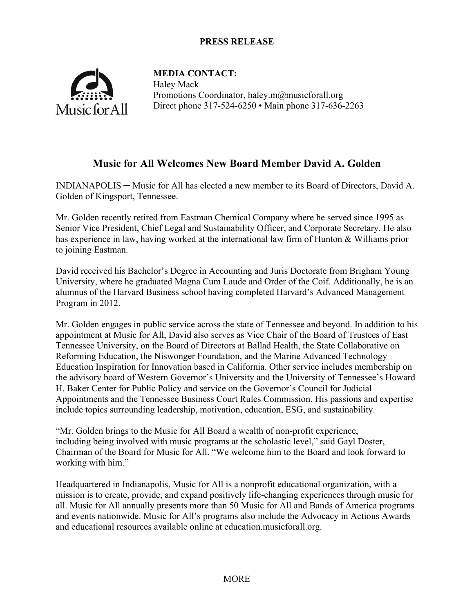## **PRESS RELEASE**



**MEDIA CONTACT:** Haley Mack Promotions Coordinator, haley.m@musicforall.org Direct phone 317-524-6250 • Main phone 317-636-2263

# **Music for All Welcomes New Board Member David A. Golden**

INDIANAPOLIS ─ Music for All has elected a new member to its Board of Directors, David A. Golden of Kingsport, Tennessee.

Mr. Golden recently retired from Eastman Chemical Company where he served since 1995 as Senior Vice President, Chief Legal and Sustainability Officer, and Corporate Secretary. He also has experience in law, having worked at the international law firm of Hunton & Williams prior to joining Eastman.

David received his Bachelor's Degree in Accounting and Juris Doctorate from Brigham Young University, where he graduated Magna Cum Laude and Order of the Coif. Additionally, he is an alumnus of the Harvard Business school having completed Harvard's Advanced Management Program in 2012.

Mr. Golden engages in public service across the state of Tennessee and beyond. In addition to his appointment at Music for All, David also serves as Vice Chair of the Board of Trustees of East Tennessee University, on the Board of Directors at Ballad Health, the State Collaborative on Reforming Education, the Niswonger Foundation, and the Marine Advanced Technology Education Inspiration for Innovation based in California. Other service includes membership on the advisory board of Western Governor's University and the University of Tennessee's Howard H. Baker Center for Public Policy and service on the Governor's Council for Judicial Appointments and the Tennessee Business Court Rules Commission. His passions and expertise include topics surrounding leadership, motivation, education, ESG, and sustainability.

"Mr. Golden brings to the Music for All Board a wealth of non-profit experience, including being involved with music programs at the scholastic level," said Gayl Doster, Chairman of the Board for Music for All. "We welcome him to the Board and look forward to working with him."

Headquartered in Indianapolis, Music for All is a nonprofit educational organization, with a mission is to create, provide, and expand positively life-changing experiences through music for all. Music for All annually presents more than 50 Music for All and Bands of America programs and events nationwide. Music for All's programs also include the Advocacy in Actions Awards and educational resources available online at education.musicforall.org.